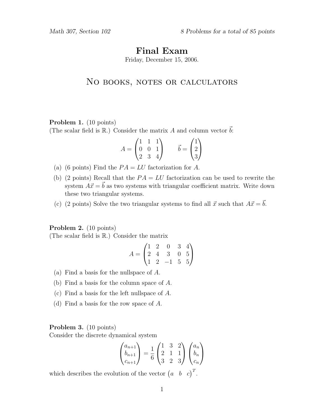# Final Exam

Friday, December 15, 2006.

# NO BOOKS, NOTES OR CALCULATORS

#### Problem 1. (10 points)

(The scalar field is  $\mathbb{R}$ .) Consider the matrix A and column vector  $\vec{b}$ :

$$
A = \begin{pmatrix} 1 & 1 & 1 \\ 0 & 0 & 1 \\ 2 & 3 & 4 \end{pmatrix} \qquad \vec{b} = \begin{pmatrix} 1 \\ 2 \\ 3 \end{pmatrix}
$$

- (a) (6 points) Find the  $PA = LU$  factorization for A.
- (b) (2 points) Recall that the  $PA = LU$  factorization can be used to rewrite the system  $A\vec{x} = \vec{b}$  as two systems with triangular coefficient matrix. Write down these two triangular systems.
- (c) (2 points) Solve the two triangular systems to find all  $\vec{x}$  such that  $A\vec{x} = \vec{b}$ .

#### Problem 2. (10 points)

(The scalar field is R.) Consider the matrix

$$
A = \begin{pmatrix} 1 & 2 & 0 & 3 & 4 \\ 2 & 4 & 3 & 0 & 5 \\ 1 & 2 & -1 & 5 & 5 \end{pmatrix}
$$

- (a) Find a basis for the nullspace of A.
- (b) Find a basis for the column space of A.
- (c) Find a basis for the left nullspace of A.
- (d) Find a basis for the row space of A.

## Problem 3. (10 points)

Consider the discrete dynamical system

$$
\begin{pmatrix} a_{n+1} \\ b_{n+1} \\ c_{n+1} \end{pmatrix} = \frac{1}{6} \begin{pmatrix} 1 & 3 & 2 \\ 2 & 1 & 1 \\ 3 & 2 & 3 \end{pmatrix} \begin{pmatrix} a_n \\ b_n \\ c_n \end{pmatrix}
$$

which describes the evolution of the vector  $\begin{pmatrix} a & b & c \end{pmatrix}^T$ .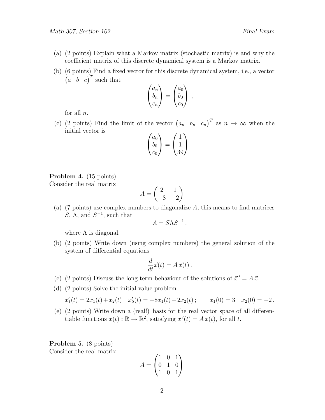- (a) (2 points) Explain what a Markov matrix (stochastic matrix) is and why the coefficient matrix of this discrete dynamical system is a Markov matrix.
- (b) (6 points) Find a fixed vector for this discrete dynamical system, i.e., a vector  $\begin{pmatrix} a & b & c \end{pmatrix}^T$  such that

$$
\begin{pmatrix} a_n \\ b_n \\ c_n \end{pmatrix} = \begin{pmatrix} a_0 \\ b_0 \\ c_0 \end{pmatrix} ,
$$

for all  $n$ .

(c) (2 points) Find the limit of the vector  $(a_n, b_n, c_n)^T$  as  $n \to \infty$  when the initial vector is

$$
\begin{pmatrix} a_0 \\ b_0 \\ c_0 \end{pmatrix} = \begin{pmatrix} 1 \\ 1 \\ 39 \end{pmatrix}.
$$

## Problem 4. (15 points) Consider the real matrix

$$
A = \begin{pmatrix} 2 & 1 \\ -8 & -2 \end{pmatrix}
$$

(a) (7 points) use complex numbers to diagonalize  $A$ , this means to find matrices S,  $\Lambda$ , and  $S^{-1}$ , such that

$$
A = S\Lambda S^{-1},
$$

where  $\Lambda$  is diagonal.

(b) (2 points) Write down (using complex numbers) the general solution of the system of differential equations

$$
\frac{d}{dt}\vec{x}(t) = A\,\vec{x}(t) \,.
$$

- (c) (2 points) Discuss the long term behaviour of the solutions of  $\vec{x}' = A \vec{x}$ .
- (d) (2 points) Solve the initial value problem

$$
x_1'(t) = 2x_1(t) + x_2(t) \quad x_2'(t) = -8x_1(t) - 2x_2(t); \qquad x_1(0) = 3 \quad x_2(0) = -2.
$$

(e) (2 points) Write down a (real!) basis for the real vector space of all differentiable functions  $\vec{x}(t) : \mathbb{R} \to \mathbb{R}^2$ , satisfying  $\vec{x}'(t) = Ax(t)$ , for all t.

Problem 5. (8 points) Consider the real matrix

$$
A = \begin{pmatrix} 1 & 0 & 1 \\ 0 & 1 & 0 \\ 1 & 0 & 1 \end{pmatrix}
$$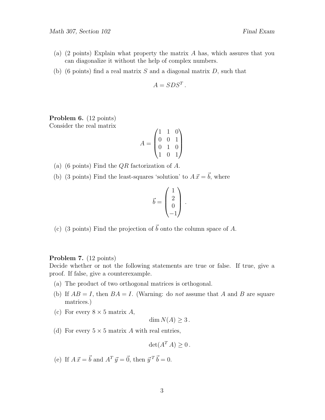- (a)  $(2 \text{ points})$  Explain what property the matrix A has, which assures that you can diagonalize it without the help of complex numbers.
- (b) (6 points) find a real matrix S and a diagonal matrix  $D$ , such that

$$
A = SDS^T.
$$

Problem 6. (12 points) Consider the real matrix

$$
A = \begin{pmatrix} 1 & 1 & 0 \\ 0 & 0 & 1 \\ 0 & 1 & 0 \\ 1 & 0 & 1 \end{pmatrix}
$$

- (a) (6 points) Find the  $QR$  factorization of A.
- (b) (3 points) Find the least-squares 'solution' to  $A \vec{x} = \vec{b}$ , where

$$
\vec{b} = \begin{pmatrix} 1 \\ 2 \\ 0 \\ -1 \end{pmatrix} \, .
$$

(c) (3 points) Find the projection of  $\vec{b}$  onto the column space of A.

#### Problem 7. (12 points)

Decide whether or not the following statements are true or false. If true, give a proof. If false, give a counterexample.

- (a) The product of two orthogonal matrices is orthogonal.
- (b) If  $AB = I$ , then  $BA = I$ . (Warning: do not assume that A and B are square matrices.)
- (c) For every  $8 \times 5$  matrix A,

dim  $N(A) \geq 3$ .

(d) For every  $5 \times 5$  matrix A with real entries,

$$
\det(A^T A) \ge 0.
$$

(e) If  $A \vec{x} = \vec{b}$  and  $A^T \vec{y} = \vec{0}$ , then  $\vec{y}^T \vec{b} = 0$ .